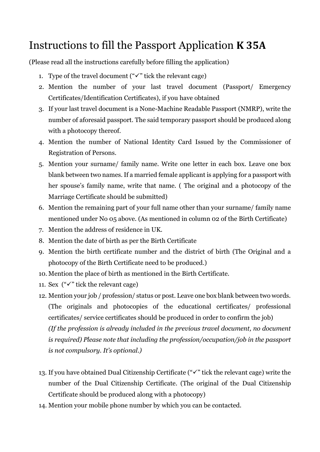## Instructions to fill the Passport Application **K 35A**

(Please read all the instructions carefully before filling the application)

- 1. Type of the travel document (" $\checkmark$ " tick the relevant cage)
- 2. Mention the number of your last travel document (Passport/ Emergency Certificates/Identification Certificates), if you have obtained
- 3. If your last travel document is a None-Machine Readable Passport (NMRP), write the number of aforesaid passport. The said temporary passport should be produced along with a photocopy thereof.
- 4. Mention the number of National Identity Card Issued by the Commissioner of Registration of Persons.
- 5. Mention your surname/ family name. Write one letter in each box. Leave one box blank between two names. If a married female applicant is applying for a passport with her spouse's family name, write that name. ( The original and a photocopy of the Marriage Certificate should be submitted)
- 6. Mention the remaining part of your full name other than your surname/ family name mentioned under No 05 above. (As mentioned in column 02 of the Birth Certificate)
- 7. Mention the address of residence in UK.
- 8. Mention the date of birth as per the Birth Certificate
- 9. Mention the birth certificate number and the district of birth (The Original and a photocopy of the Birth Certificate need to be produced.)
- 10. Mention the place of birth as mentioned in the Birth Certificate.
- 11. Sex  $("\checkmark"$  tick the relevant cage)
- 12. Mention your job / profession/ status or post. Leave one box blank between two words. (The originals and photocopies of the educational certificates/ professional certificates/ service certificates should be produced in order to confirm the job) *(If the profession is already included in the previous travel document, no document is required) Please note that including the profession/occupation/job in the passport is not compulsory. It's optional.)*
- 13. If you have obtained Dual Citizenship Certificate ("✓" tick the relevant cage) write the number of the Dual Citizenship Certificate. (The original of the Dual Citizenship Certificate should be produced along with a photocopy)
- 14. Mention your mobile phone number by which you can be contacted.